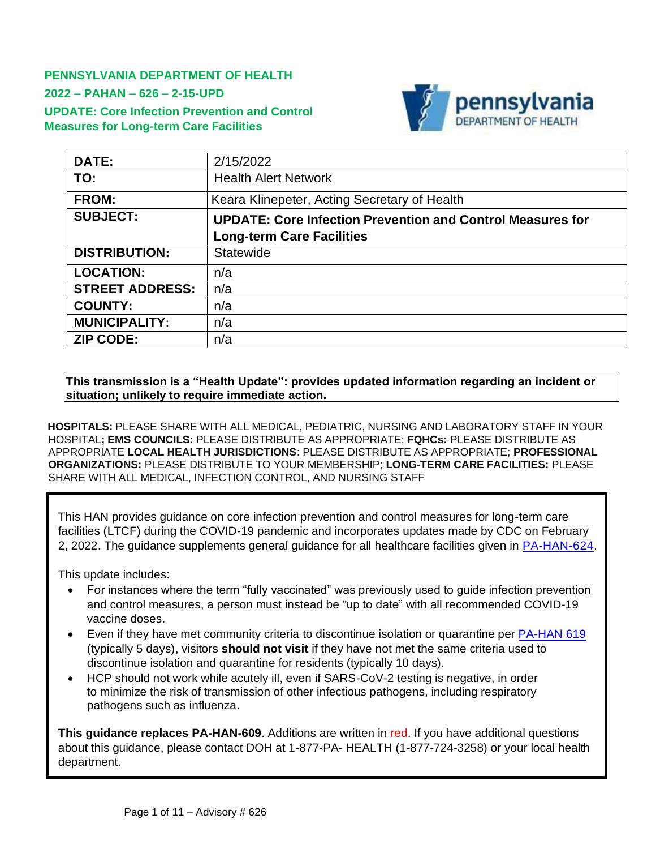**PENNSYLVANIA DEPARTMENT OF HEALTH 2022 – PAHAN – 626 – 2-15-UPD UPDATE: Core Infection Prevention and Control Measures for Long-term Care Facilities**



| DATE:                  | 2/15/2022                                                         |
|------------------------|-------------------------------------------------------------------|
| TO:                    | <b>Health Alert Network</b>                                       |
| <b>FROM:</b>           | Keara Klinepeter, Acting Secretary of Health                      |
| <b>SUBJECT:</b>        | <b>UPDATE: Core Infection Prevention and Control Measures for</b> |
|                        | <b>Long-term Care Facilities</b>                                  |
| <b>DISTRIBUTION:</b>   | Statewide                                                         |
| <b>LOCATION:</b>       | n/a                                                               |
| <b>STREET ADDRESS:</b> | n/a                                                               |
| <b>COUNTY:</b>         | n/a                                                               |
| <b>MUNICIPALITY:</b>   | n/a                                                               |
| <b>ZIP CODE:</b>       | n/a                                                               |

#### **This transmission is a "Health Update": provides updated information regarding an incident or situation; unlikely to require immediate action.**

**HOSPITALS:** PLEASE SHARE WITH ALL MEDICAL, PEDIATRIC, NURSING AND LABORATORY STAFF IN YOUR HOSPITAL**; EMS COUNCILS:** PLEASE DISTRIBUTE AS APPROPRIATE; **FQHCs:** PLEASE DISTRIBUTE AS APPROPRIATE **LOCAL HEALTH JURISDICTIONS**: PLEASE DISTRIBUTE AS APPROPRIATE; **PROFESSIONAL ORGANIZATIONS:** PLEASE DISTRIBUTE TO YOUR MEMBERSHIP; **LONG-TERM CARE FACILITIES:** PLEASE SHARE WITH ALL MEDICAL, INFECTION CONTROL, AND NURSING STAFF

This HAN provides guidance on core infection prevention and control measures for long-term care facilities (LTCF) during the COVID-19 pandemic and incorporates updates made by CDC on February 2, 2022. The guidance supplements general guidance for all healthcare facilities given in [PA-HAN-624.](https://www.health.pa.gov/topics/Documents/HAN/2022-624-2-8-UPD-IPC%20for%20Healthcare.pdf)

This update includes:

- For instances where the term "fully vaccinated" was previously used to quide infection prevention and control measures, a person must instead be "up to date" with all recommended COVID-19 vaccine doses.
- Even if they have met [community criteria](https://www.cdc.gov/coronavirus/2019-ncov/your-health/quarantine-isolation.html) to discontinue isolation or quarantine per [PA-HAN 619](https://www.health.pa.gov/topics/Documents/HAN/2022-619-1-7-UPD-COVID-19%20Isolation.pdf) (typically 5 days), visitors **should not visit** if they have not met the same criteria used to discontinue isolation and quarantine for residents (typically 10 days).
- HCP should not work while acutely ill, even if SARS-CoV-2 testing is negative, in order to minimize the risk of transmission of other infectious pathogens, including respiratory pathogens such as influenza.

**This guidance replaces PA-HAN-609**. Additions are written in red. If you have additional questions about this guidance, please contact DOH at 1-877-PA- HEALTH (1-877-724-3258) or your local health department.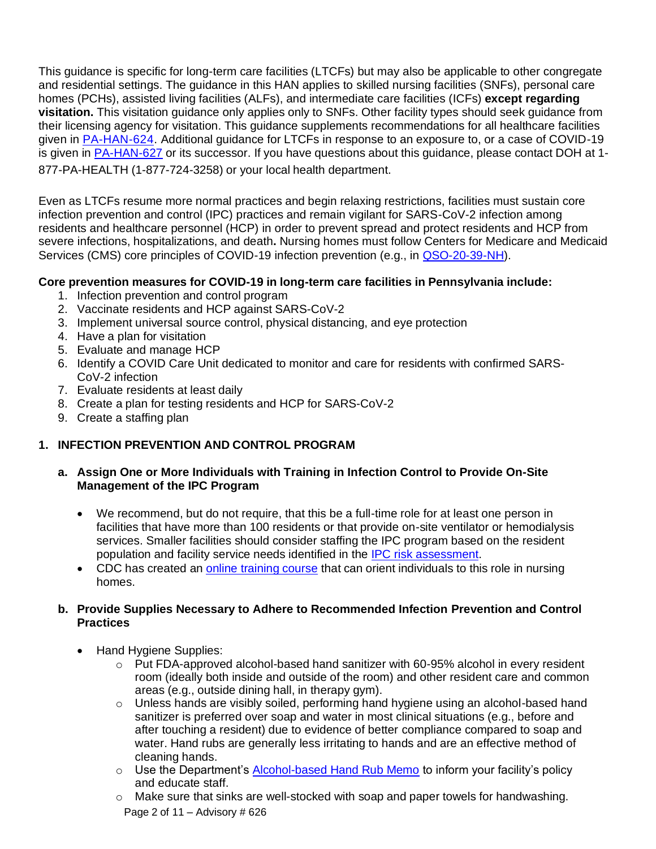This guidance is specific for long-term care facilities (LTCFs) but may also be applicable to other congregate and residential settings. The guidance in this HAN applies to skilled nursing facilities (SNFs), personal care homes (PCHs), assisted living facilities (ALFs), and intermediate care facilities (ICFs) **except regarding visitation.** This visitation guidance only applies only to SNFs. Other facility types should seek guidance from their licensing agency for visitation. This guidance supplements recommendations for all healthcare facilities given in [PA-HAN-624.](https://www.health.pa.gov/topics/Documents/HAN/2022-624-2-8-UPD-IPC%20for%20Healthcare.pdf) Additional guidance for LTCFs in response to an exposure to, or a case of COVID-19 is given in [PA-HAN-627](https://www.health.pa.gov/topics/Documents/HAN/2022-627-2-15-UPD-LTCF%20OB%20Response.pdf) or its successor. If you have questions about this guidance, please contact DOH at 1- 877-PA-HEALTH (1-877-724-3258) or your local health department.

Even as LTCFs resume more normal practices and begin relaxing restrictions, facilities must sustain core infection prevention and control (IPC) practices and remain vigilant for SARS-CoV-2 infection among residents and healthcare personnel (HCP) in order to prevent spread and protect residents and HCP from severe infections, hospitalizations, and death**.** Nursing homes must follow Centers for Medicare and Medicaid Services (CMS) core principles of COVID-19 infection prevention (e.g., in [QSO-20-39-NH\)](https://www.cms.gov/files/document/qso-20-39-nh-revised.pdf).

### **Core prevention measures for COVID-19 in long-term care facilities in Pennsylvania include:**

- 1. Infection prevention and control program
- 2. Vaccinate residents and HCP against SARS-CoV-2
- 3. Implement universal source control, physical distancing, and eye protection
- 4. Have a plan for visitation
- 5. Evaluate and manage HCP
- 6. Identify a COVID Care Unit dedicated to monitor and care for residents with confirmed SARS-CoV-2 infection
- 7. Evaluate residents at least daily
- 8. Create a plan for testing residents and HCP for SARS-CoV-2
- 9. Create a staffing plan

## **1. INFECTION PREVENTION AND CONTROL PROGRAM**

- **a. Assign One or More Individuals with Training in Infection Control to Provide On-Site Management of the IPC Program**
	- We recommend, but do not require, that this be a full-time role for at least one person in facilities that have more than 100 residents or that provide on-site ventilator or hemodialysis services. Smaller facilities should consider staffing the IPC program based on the resident population and facility service needs identified in the IPC risk [assessment.](https://www.cdc.gov/longtermcare/training.html#anchor_1557254909)
	- CDC has created an online [training](https://www.train.org/cdctrain/training_plan/3814) course that can orient individuals to this role in nursing homes.

### **b. Provide Supplies Necessary to Adhere to Recommended Infection Prevention and Control Practices**

- Hand Hygiene Supplies:
	- $\circ$  Put FDA-approved alcohol-based hand sanitizer with 60-95% alcohol in every resident room (ideally both inside and outside of the room) and other resident care and common areas (e.g., outside dining hall, in therapy gym).
	- o Unless hands are visibly soiled, performing hand hygiene using an alcohol-based hand sanitizer is preferred over soap and water in most clinical situations (e.g., before and after touching a resident) due to evidence of better compliance compared to soap and water. Hand rubs are generally less irritating to hands and are an effective method of cleaning hands.
	- o Use the Department's **[Alcohol-based Hand Rub Memo](https://www.health.pa.gov/topics/Documents/Programs/HAIP-AS/ABHR%20memo.pdf)** to inform your facility's policy and educate staff.
	- Page 2 of 11 Advisory  $\#$  626  $\circ$  Make sure that sinks are well-stocked with soap and paper towels for handwashing.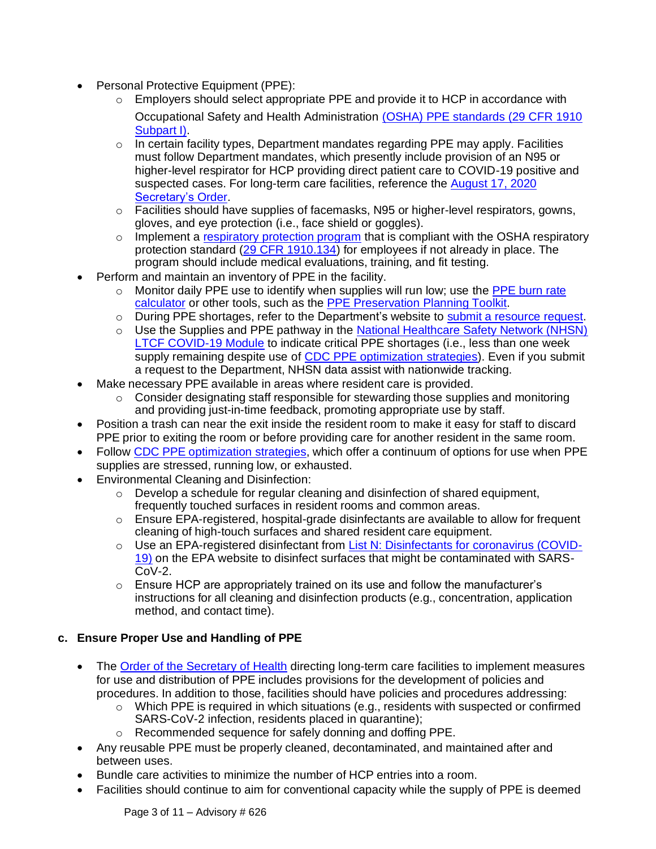- Personal Protective Equipment (PPE):
	- $\circ$  Employers should select appropriate PPE and provide it to HCP in accordance with Occupational Safety and Health Administration [\(OSHA\) PPE standards \(29 CFR 1910](https://www.osha.gov/laws-regs/regulations/standardnumber/1910) [Subpart](https://www.osha.gov/laws-regs/regulations/standardnumber/1910) I).
	- $\circ$  In certain facility types, Department mandates regarding PPE may apply. Facilities must follow Department mandates, which presently include provision of an N95 or higher-level respirator for HCP providing direct patient care to COVID-19 positive and suspected cases. For long-term care facilities, reference the [August 17, 2020](https://www.health.pa.gov/topics/Documents/Diseases%20and%20Conditions/Order%20of%20the%20Secretary%20on%20PPE%20Distribution%20in%20LTCFs.pdf) [Secretary's](https://www.health.pa.gov/topics/Documents/Diseases%20and%20Conditions/Order%20of%20the%20Secretary%20on%20PPE%20Distribution%20in%20LTCFs.pdf) Order.
	- $\circ$  Facilities should have supplies of facemasks, N95 or higher-level respirators, gowns, gloves, and eye protection (i.e., face shield or goggles).
	- $\circ$  Implement a [respiratory protection program](https://www.cdc.gov/niosh/docs/2015-117/default.html) that is compliant with the OSHA respiratory protection standard [\(29 CFR 1910.134\)](https://www.osha.gov/laws-regs/regulations/standardnumber/1910/1910.134) for employees if not already in place. The program should include medical evaluations, training, and fit testing.
- Perform and maintain an inventory of PPE in the facility.
	- $\circ$  Monitor daily PPE use to identify when supplies will run low; use the [PPE burn rate](https://www.cdc.gov/coronavirus/2019-ncov/hcp/ppe-strategy/burn-calculator.html) [calculator](https://www.cdc.gov/coronavirus/2019-ncov/hcp/ppe-strategy/burn-calculator.html) or other tools, such as the PPE [Preservation](https://files.asprtracie.hhs.gov/documents/ppepp-toolkit-fact-sheet-hrwg.pdf) Planning Toolkit.
	- o During PPE shortages, refer to the Department's website to submit a [resource](https://www.health.pa.gov/topics/disease/coronavirus/Pages/Nursing-Homes.aspx) request.
	- o Use the Supplies and PPE pathway in the [National Healthcare Safety Network \(NHSN\)](https://www.cdc.gov/nhsn/ltc/covid19/index.html) [LTCF COVID-19 Module](https://www.cdc.gov/nhsn/ltc/covid19/index.html) to indicate critical PPE shortages (i.e., less than one week supply remaining despite use of CDC [PPE optimization](https://www.cdc.gov/coronavirus/2019-ncov/hcp/ppe-strategy/general-optimization-strategies.html) strategies). Even if you submit a request to the Department, NHSN data assist with nationwide tracking.
- Make necessary PPE available in areas where resident care is provided.
	- o Consider designating staff responsible for stewarding those supplies and monitoring and providing just-in-time feedback, promoting appropriate use by staff.
- Position a trash can near the exit inside the resident room to make it easy for staff to discard PPE prior to exiting the room or before providing care for another resident in the same room.
- Follow CDC PPE [optimization](https://www.cdc.gov/coronavirus/2019-ncov/hcp/ppe-strategy/general-optimization-strategies.html) strategies, which offer a continuum of options for use when PPE supplies are stressed, running low, or exhausted.
- Environmental Cleaning and Disinfection:
	- o Develop a schedule for regular cleaning and disinfection of shared equipment, frequently touched surfaces in resident rooms and common areas.
	- o Ensure EPA-registered, hospital-grade disinfectants are available to allow for frequent cleaning of high-touch surfaces and shared resident care equipment.
	- o Use an EPA-registered disinfectant from [List N: Disinfectants for coronavirus \(COVID-](https://www.epa.gov/pesticide-registration/list-n-disinfectants-use-against-sars-cov-2)[19\)](https://www.epa.gov/pesticide-registration/list-n-disinfectants-use-against-sars-cov-2) on the EPA website to disinfect surfaces that might be contaminated with SARS-CoV-2.
	- $\circ$  Ensure HCP are appropriately trained on its use and follow the manufacturer's instructions for all cleaning and disinfection products (e.g., concentration, application method, and contact time).

## **c. Ensure Proper Use and Handling of PPE**

- The [Order of the Secretary of Health](https://www.health.pa.gov/topics/Documents/Diseases%20and%20Conditions/Order%20of%20the%20Secretary%20on%20PPE%20Distribution%20in%20LTCFs.pdf) directing long-term care facilities to implement measures for use and distribution of PPE includes provisions for the development of policies and procedures. In addition to those, facilities should have policies and procedures addressing:
	- o Which PPE is required in which situations (e.g., residents with suspected or confirmed SARS-CoV-2 infection, residents placed in quarantine);
	- o Recommended sequence for safely donning and doffing PPE.
- Any reusable PPE must be properly cleaned, decontaminated, and maintained after and between uses.
- Bundle care activities to minimize the number of HCP entries into a room.
- Facilities should continue to aim for conventional capacity while the supply of PPE is deemed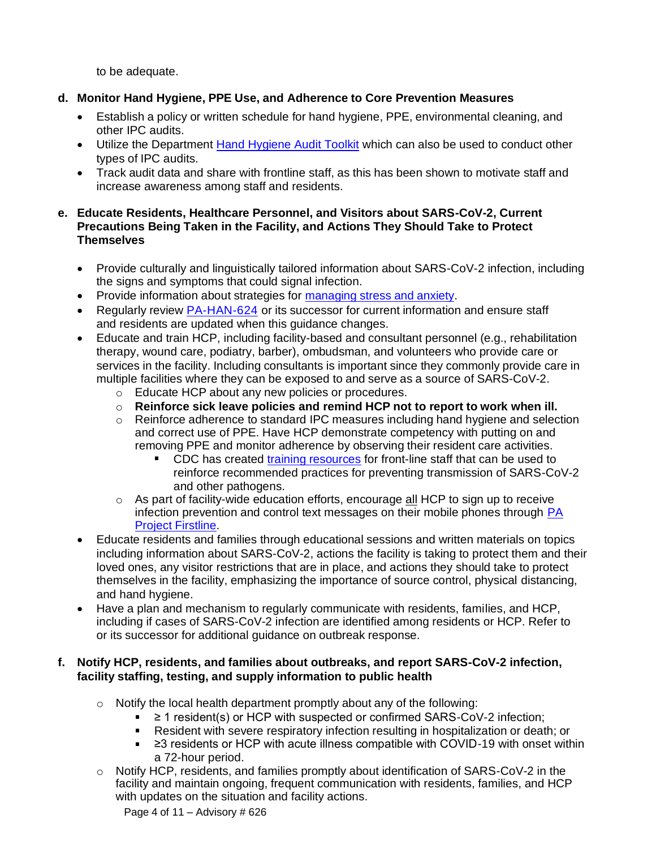to be adequate.

## **d. Monitor Hand Hygiene, PPE Use, and Adherence to Core Prevention Measures**

- Establish a policy or written schedule for hand hygiene, PPE, environmental cleaning, and other IPC audits.
- Utilize the Department [Hand Hygiene Audit Toolkit](https://www.health.pa.gov/topics/programs/HAIP-AS/Pages/Healthcare.aspx) which can also be used to conduct other types of IPC audits.
- Track audit data and share with frontline staff, as this has been shown to motivate staff and increase awareness among staff and residents.

### **e. Educate Residents, Healthcare Personnel, and Visitors about SARS-CoV-2, Current Precautions Being Taken in the Facility, and Actions They Should Take to Protect Themselves**

- Provide culturally and linguistically tailored information about SARS-CoV-2 infection, including the signs and symptoms that could signal infection.
- Provide information about strategies for [managing](https://www.cdc.gov/coronavirus/2019-ncov/daily-life-coping/managing-stress-anxiety.html) stress and anxiety.
- Regularly review [PA-HAN-624](https://www.health.pa.gov/topics/Documents/HAN/2022-624-2-8-UPD-IPC%20for%20Healthcare.pdf) or its successor for current information and ensure staff and residents are updated when this guidance changes.
- Educate and train HCP, including facility-based and consultant personnel (e.g., rehabilitation therapy, wound care, podiatry, barber), ombudsman, and volunteers who provide care or services in the facility. Including consultants is important since they commonly provide care in multiple facilities where they can be exposed to and serve as a source of SARS-CoV-2.
	- o Educate HCP about any new policies or procedures.
	- o **Reinforce sick leave policies and remind HCP not to report to work when ill.**
	- o Reinforce adherence to standard IPC measures including hand hygiene and selection and correct use of PPE. Have HCP demonstrate competency with putting on and removing PPE and monitor adherence by observing their resident care activities.
		- **CDC** has created [training resources](https://www.cdc.gov/coronavirus/2019-ncov/hcp/nursing-home-long-term-care.html) for front-line staff that can be used to reinforce recommended practices for preventing transmission of SARS-CoV-2 and other pathogens.
	- $\circ$  As part of facility-wide education efforts, encourage all HCP to sign up to receive infection prevention and control text messages on their mobile phones through [PA](https://www.health.pa.gov/topics/programs/HAIP-AS/Pages/PA-Project-Firstline.aspx#%3A~%3Atext%3DPA%20Project%20Firstline%2C%20developed%20in%20partnership%20with%20the%2C%28IPC%29%20for%20all%20types%20of%20frontline%20healthcare%20workers) Project [Firstline.](https://www.health.pa.gov/topics/programs/HAIP-AS/Pages/PA-Project-Firstline.aspx#%3A~%3Atext%3DPA%20Project%20Firstline%2C%20developed%20in%20partnership%20with%20the%2C%28IPC%29%20for%20all%20types%20of%20frontline%20healthcare%20workers)
- Educate residents and families through educational sessions and written materials on topics including information about SARS-CoV-2, actions the facility is taking to protect them and their loved ones, any visitor restrictions that are in place, and actions they should take to protect themselves in the facility, emphasizing the importance of source control, physical distancing, and hand hygiene.
- Have a plan and mechanism to regularly communicate with residents, families, and HCP, including if cases of SARS-CoV-2 infection are identified among residents or HCP. Refer to or its successor for additional guidance on outbreak response.

### **f. Notify HCP, residents, and families about outbreaks, and report SARS-CoV-2 infection, facility staffing, testing, and supply information to public health**

- o Notify the local health department promptly about any of the following:
	- ≥ 1 resident(s) or HCP with suspected or confirmed SARS-CoV-2 infection;  $\mathbf{r}$
	- Resident with severe respiratory infection resulting in hospitalization or death; or
	- ≥3 residents or HCP with acute illness compatible with COVID-19 with onset within a 72-hour period.
- $\circ$  Notify HCP, residents, and families promptly about identification of SARS-CoV-2 in the facility and maintain ongoing, frequent communication with residents, families, and HCP with updates on the situation and facility actions.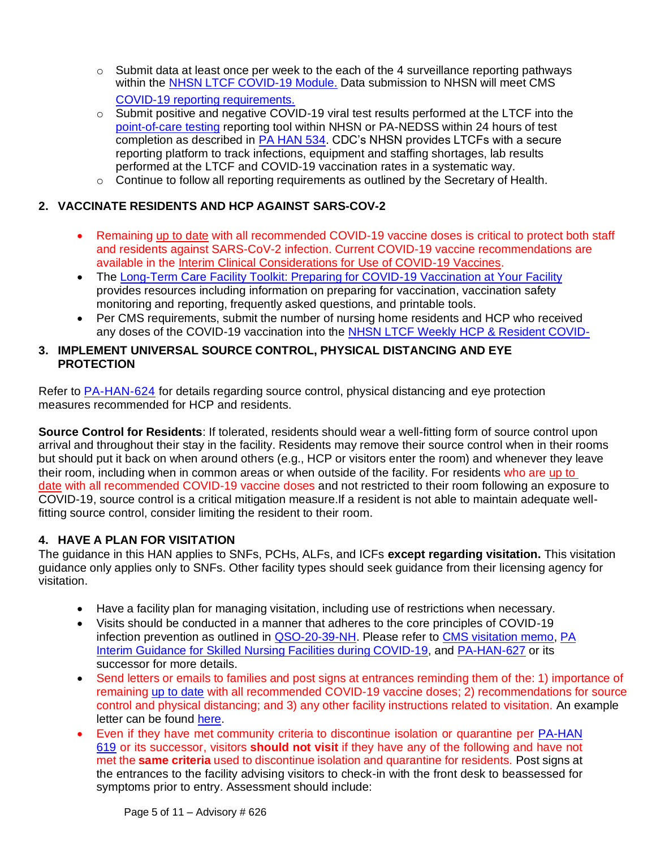- $\circ$  Submit data at least once per week to the each of the 4 surveillance reporting pathways within the **NHSN LTCF COVID-19 Module**. Data submission to NHSN will meet CMS COVID-19 reporting requirements.
- $\circ$  Submit positive and negative COVID-19 viral test results performed at the LTCF into the [point-of-care testing](https://www.cdc.gov/coronavirus/2019-ncov/lab/point-of-care-testing.html) reporting tool within NHSN or PA-NEDSS within 24 hours of test completion as described in [PA HAN 534.](https://www.health.pa.gov/topics/Documents/HAN/2020-%20PAHAN-534-10-30-ADV-COVID_labr.pdf) CDC's NHSN provides LTCFs with a secure reporting platform to track infections, equipment and staffing shortages, lab results performed at the LTCF and COVID-19 vaccination rates in a systematic way.
- o Continue to follow all reporting requirements as outlined by the Secretary of Health.

# **2. VACCINATE RESIDENTS AND HCP AGAINST SARS-COV-2**

- Remaining [up to date](https://www.cdc.gov/coronavirus/2019-ncov/vaccines/stay-up-to-date.html?CDC_AA_refVal=https%3A%2F%2Fwww.cdc.gov%2Fcoronavirus%2F2019-ncov%2Fvaccines%2Ffully-vaccinated.html) with all recommended COVID-19 vaccine doses is critical to protect both staff and residents against SARS-CoV-2 infection. Current COVID-19 vaccine recommendations are available in the [Interim Clinical Considerations for Use of COVID-19 Vaccines.](https://www.cdc.gov/vaccines/covid-19/clinical-considerations/covid-19-vaccines-us.html)
- The [Long-Term Care Facility Toolkit: Preparing for COVID-19 Vaccination at Your Facility](https://www.cdc.gov/vaccines/covid-19/toolkits/long-term-care/index.html) provides resources including information on preparing for vaccination, vaccination safety monitoring and reporting, frequently asked questions, and printable tools.
- Per CMS requirements, submit the number of nursing home residents and HCP who received any doses of the COVID-19 vaccination into the [NHSN LTCF Weekly HCP & Resident COVID-](https://www.cdc.gov/nhsn/ltc/weekly-covid-vac/index.html)

### **3. IMPLEMENT UNIVERSAL SOURCE CONTROL, PHYSICAL DISTANCING AND EYE PROTECTION**

Refer to [PA-HAN-624](https://www.health.pa.gov/topics/Documents/HAN/2022-624-2-8-UPD-IPC%20for%20Healthcare.pdf) for details regarding source control, physical distancing and eye protection measures recommended for HCP and residents.

**Source Control for Residents**: If tolerated, residents should wear a well-fitting form of source control upon arrival and throughout their stay in the facility. Residents may remove their source control when in their rooms but should put it back on when around others (e.g., HCP or visitors enter the room) and whenever they leave their room, including when in common areas or when outside of the facility. For residents who are [up to](https://www.cdc.gov/coronavirus/2019-ncov/vaccines/stay-up-to-date.html?CDC_AA_refVal=https%3A%2F%2Fwww.cdc.gov%2Fcoronavirus%2F2019-ncov%2Fvaccines%2Ffully-vaccinated.html)  [date](https://www.cdc.gov/coronavirus/2019-ncov/vaccines/stay-up-to-date.html?CDC_AA_refVal=https%3A%2F%2Fwww.cdc.gov%2Fcoronavirus%2F2019-ncov%2Fvaccines%2Ffully-vaccinated.html) with all recommended COVID-19 vaccine doses and not restricted to their room following an exposure to COVID-19, source control is a critical mitigation measure.If a resident is not able to maintain adequate wellfitting source control, consider limiting the resident to their room.

### **4. HAVE A PLAN FOR VISITATION**

The guidance in this HAN applies to SNFs, PCHs, ALFs, and ICFs **except regarding visitation.** This visitation guidance only applies only to SNFs. Other facility types should seek guidance from their licensing agency for visitation.

- Have a facility plan for managing visitation, including use of restrictions when necessary.
- Visits should be conducted in a manner that adheres to the core principles of COVID-19 infection prevention as outlined in [QSO-20-39-NH.](https://www.cms.gov/files/document/qso-20-39-nh-revised.pdf) Please refer to [CMS visitation memo,](https://www.cms.gov/files/document/qso-20-39-nh-revised.pdf) [PA](https://www.health.pa.gov/topics/disease/coronavirus/Pages/Guidance/SNF-Guidance.aspx) [Interim Guidance for Skilled Nursing Facilities during COVID-19,](https://www.health.pa.gov/topics/disease/coronavirus/Pages/Guidance/SNF-Guidance.aspx) and [PA-HAN-627](https://www.health.pa.gov/topics/Documents/HAN/2022-627-2-15-UPD-LTCF%20OB%20Response.pdf) or its successor for more details.
- Send letters or emails to families and post signs at entrances reminding them of the: 1) importance of remaining [up to date](https://www.cdc.gov/coronavirus/2019-ncov/vaccines/stay-up-to-date.html?CDC_AA_refVal=https%3A%2F%2Fwww.cdc.gov%2Fcoronavirus%2F2019-ncov%2Fvaccines%2Ffully-vaccinated.html) with all recommended COVID-19 vaccine doses; 2) [recommendations for source](https://www.cdc.gov/coronavirus/2019-ncov/hcp/infection-control-recommendations.html)  [control and physical distancing;](https://www.cdc.gov/coronavirus/2019-ncov/hcp/infection-control-recommendations.html) and 3) any other facility instructions related to visitation. An example letter can be found [here.](https://www.cdc.gov/coronavirus/2019-ncov/downloads/hcp/Sample-Notification-Letter-to-Residents-and-Families_COVID-19-Transmission-Identified.pdf)
- Even if they have met [community criteria](https://www.cdc.gov/coronavirus/2019-ncov/your-health/quarantine-isolation.html) to discontinue isolation or quarantine per [PA-HAN](https://www.health.pa.gov/topics/Documents/HAN/2022-619-1-7-UPD-COVID-19%20Isolation.pdf)  [619](https://www.health.pa.gov/topics/Documents/HAN/2022-619-1-7-UPD-COVID-19%20Isolation.pdf) or its successor, visitors **should not visit** if they have any of the following and have not met the **same criteria** used to discontinue isolation and quarantine for residents. Post signs at the entrances to the facility advising visitors to check-in with the front desk to beassessed for symptoms prior to entry. Assessment should include: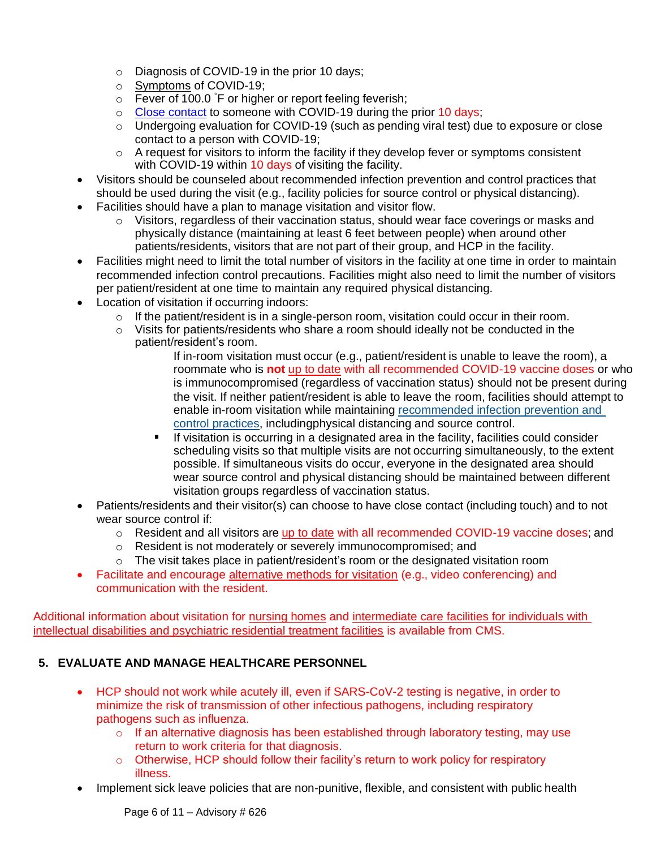- o Diagnosis of COVID-19 in the prior 10 days;
- o [Symptoms](https://www.cdc.gov/coronavirus/2019-ncov/symptoms-testing/symptoms.html) of COVID-19;
- $\circ$  Fever of 100.0  $\circ$ F or higher or report feeling feverish;
- o Close [contact](https://www.cdc.gov/coronavirus/2019-ncov/php/contact-tracing/contact-tracing-plan/appendix.html#contact) to someone with COVID-19 during the prior 10 days;
- o Undergoing evaluation for COVID-19 (such as pending viral test) due to exposure or close contact to a person with COVID-19;
- $\circ$  A request for visitors to inform the facility if they develop fever or symptoms consistent with COVID-19 within 10 days of visiting the facility.
- Visitors should be counseled about recommended infection prevention and control practices that should be used during the visit (e.g., facility policies for source control or physical distancing).
- Facilities should have a plan to manage visitation and visitor flow.
	- $\circ$  Visitors, regardless of their vaccination status, should wear face coverings or masks and physically distance (maintaining at least 6 feet between people) when around other patients/residents, visitors that are not part of their group, and HCP in the facility.
- Facilities might need to limit the total number of visitors in the facility at one time in order to maintain recommended infection control precautions. Facilities might also need to limit the number of visitors per patient/resident at one time to maintain any required physical distancing.
- Location of visitation if occurring indoors:
	- $\circ$  If the patient/resident is in a single-person room, visitation could occur in their room.
	- o Visits for patients/residents who share a room should ideally not be conducted in the patient/resident's room.

If in-room visitation must occur (e.g., patient/resident is unable to leave the room), a roommate who is **not** [up to date](https://www.cdc.gov/coronavirus/2019-ncov/vaccines/stay-up-to-date.html?CDC_AA_refVal=https%3A%2F%2Fwww.cdc.gov%2Fcoronavirus%2F2019-ncov%2Fvaccines%2Ffully-vaccinated.html) with all recommended COVID-19 vaccine doses or who is immunocompromised (regardless of vaccination status) should not be present during the visit. If neither patient/resident is able to leave the room, facilities should attempt to enable in-room visitation while maintaining [recommended infection prevention and](https://www.cms.gov/medicareprovider-enrollment-and-certificationsurveycertificationgeninfopolicy-and-memos-states-and/nursing-home-visitation-covid-19-revised)  [control practices,](https://www.cms.gov/medicareprovider-enrollment-and-certificationsurveycertificationgeninfopolicy-and-memos-states-and/nursing-home-visitation-covid-19-revised) includingphysical distancing and source control.

- If visitation is occurring in a designated area in the facility, facilities could consider scheduling visits so that multiple visits are not occurring simultaneously, to the extent possible. If simultaneous visits do occur, everyone in the designated area should wear source control and physical distancing should be maintained between different visitation groups regardless of vaccination status.
- Patients/residents and their visitor(s) can choose to have close contact (including touch) and to not wear source control if:
	- $\circ$  Resident and all visitors are [up to date](https://www.cdc.gov/coronavirus/2019-ncov/vaccines/stay-up-to-date.html?CDC_AA_refVal=https%3A%2F%2Fwww.cdc.gov%2Fcoronavirus%2F2019-ncov%2Fvaccines%2Ffully-vaccinated.html) with all recommended COVID-19 vaccine doses; and
	- o Resident is not moderately or severely immunocompromised; and
	- o The visit takes place in patient/resident's room or the designated visitation room
- Facilitate and encourage [alternative methods for visitation](https://www.cdc.gov/coronavirus/2019-ncov/downloads/supporting-loved-one-in-long-term-care-facility.pdf) (e.g., video conferencing) and communication with the resident.

Additional information about visitation for [nursing homes](https://www.cms.gov/medicareprovider-enrollment-and-certificationsurveycertificationgeninfopolicy-and-memos-states-and/nursing-home-visitation-covid-19-revised) and [intermediate care facilities for individuals with](https://www.cms.gov/files/document/qso-21-14-icf-iid-prtf.pdf)  [intellectual disabilities and psychiatric residential treatment facilities](https://www.cms.gov/files/document/qso-21-14-icf-iid-prtf.pdf) is available from CMS.

# **5. EVALUATE AND MANAGE HEALTHCARE PERSONNEL**

- HCP should not work while acutely ill, even if SARS-CoV-2 testing is negative, in order to minimize the risk of transmission of other infectious pathogens, including respiratory pathogens such as influenza.
	- $\circ$  If an alternative diagnosis has been established through laboratory testing, may use return to work criteria for that diagnosis.
	- $\circ$  Otherwise, HCP should follow their facility's return to work policy for respiratory illness.
- Implement sick leave policies that are non-punitive, flexible, and consistent with public health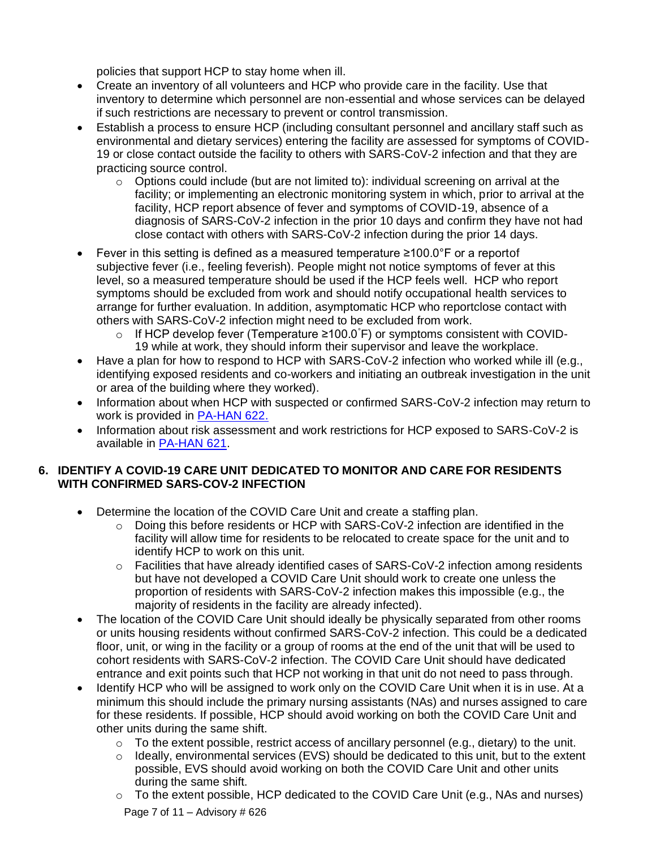policies that support HCP to stay home when ill.

- Create an inventory of all volunteers and HCP who provide care in the facility. Use that inventory to determine which personnel are non-essential and whose services can be delayed if such restrictions are necessary to prevent or control transmission.
- Establish a process to ensure HCP (including consultant personnel and ancillary staff such as environmental and dietary services) entering the facility are assessed for symptoms of COVID-19 or close contact outside the facility to others with SARS-CoV-2 infection and that they are practicing source control.
	- $\circ$  Options could include (but are not limited to): individual screening on arrival at the facility; or implementing an electronic monitoring system in which, prior to arrival at the facility, HCP report absence of fever and symptoms of COVID-19, absence of a diagnosis of SARS-CoV-2 infection in the prior 10 days and confirm they have not had close contact with others with SARS-CoV-2 infection during the prior 14 days.
- Fever in this setting is defined as a measured temperature ≥100.0°F or a reportof subjective fever (i.e., feeling feverish). People might not notice symptoms of fever at this level, so a measured temperature should be used if the HCP feels well. HCP who report symptoms should be excluded from work and should notify occupational health services to arrange for further evaluation. In addition, asymptomatic HCP who reportclose contact with others with SARS-CoV-2 infection might need to be excluded from work.
	- o If HCP develop fever (Temperature ≥100.0°F) or symptoms consistent with COVID-19 while at work, they should inform their supervisor and leave the workplace.
- Have a plan for how to respond to HCP with SARS-CoV-2 infection who worked while ill (e.g., identifying exposed residents and co-workers and initiating an outbreak investigation in the unit or area of the building where they worked).
- Information about when HCP with suspected or confirmed SARS-CoV-2 infection may return to work is provided in [PA-HAN 622.](https://www.health.pa.gov/topics/Documents/HAN/2021-622-1-25-UPD-Return_Work%20HCP.pdf)
- Information about risk assessment and work restrictions for HCP exposed to SARS-CoV-2 is available in [PA-HAN 621.](https://www.health.pa.gov/topics/Documents/HAN/2022-621-01-25-UPD-HCP%20restrictions.pdf)

### **6. IDENTIFY A COVID-19 CARE UNIT DEDICATED TO MONITOR AND CARE FOR RESIDENTS WITH CONFIRMED SARS-COV-2 INFECTION**

- Determine the location of the COVID Care Unit and create a staffing plan.
	- o Doing this before residents or HCP with SARS-CoV-2 infection are identified in the facility will allow time for residents to be relocated to create space for the unit and to identify HCP to work on this unit.
	- $\circ$  Facilities that have already identified cases of SARS-CoV-2 infection among residents but have not developed a COVID Care Unit should work to create one unless the proportion of residents with SARS-CoV-2 infection makes this impossible (e.g., the majority of residents in the facility are already infected).
- The location of the COVID Care Unit should ideally be physically separated from other rooms or units housing residents without confirmed SARS-CoV-2 infection. This could be a dedicated floor, unit, or wing in the facility or a group of rooms at the end of the unit that will be used to cohort residents with SARS-CoV-2 infection. The COVID Care Unit should have dedicated entrance and exit points such that HCP not working in that unit do not need to pass through.
- Identify HCP who will be assigned to work only on the COVID Care Unit when it is in use. At a minimum this should include the primary nursing assistants (NAs) and nurses assigned to care for these residents. If possible, HCP should avoid working on both the COVID Care Unit and other units during the same shift.
	- o To the extent possible, restrict access of ancillary personnel (e.g., dietary) to the unit.
	- o Ideally, environmental services (EVS) should be dedicated to this unit, but to the extent possible, EVS should avoid working on both the COVID Care Unit and other units during the same shift.
	- $\circ$  To the extent possible, HCP dedicated to the COVID Care Unit (e.g., NAs and nurses)

Page 7 of 11 – Advisory  $\#$  626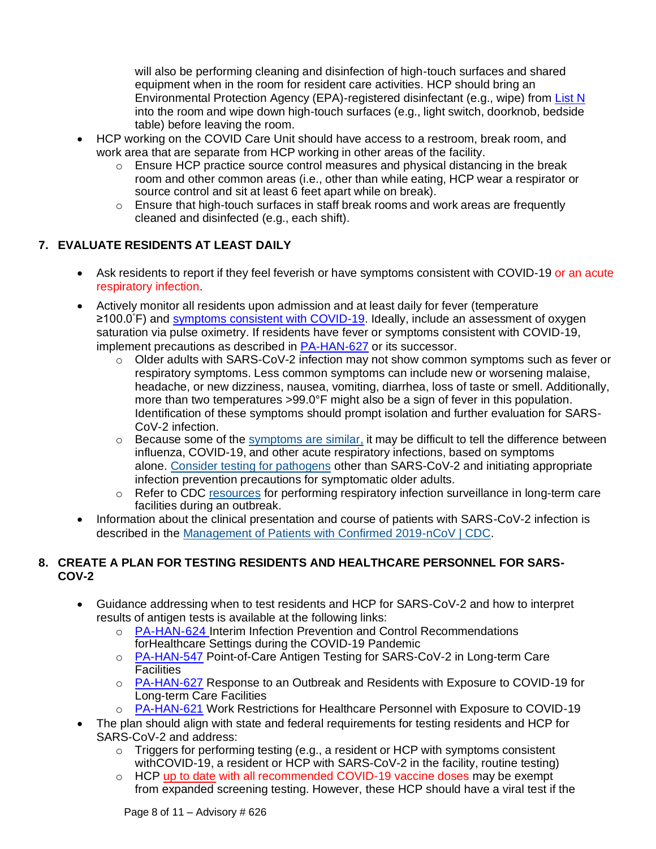will also be performing cleaning and disinfection of high-touch surfaces and shared equipment when in the room for resident care activities. HCP should bring an Environmental Protection Agency (EPA)-registered disinfectant (e.g., wipe) from [List N](https://www.epa.gov/pesticide-registration/list-n-disinfectants-use-against-sars-cov-2) into the room and wipe down high-touch surfaces (e.g., light switch, doorknob, bedside table) before leaving the room.

- HCP working on the COVID Care Unit should have access to a restroom, break room, and work area that are separate from HCP working in other areas of the facility.
	- o Ensure HCP practice source control measures and physical distancing in the break room and other common areas (i.e., other than while eating, HCP wear a respirator or source control and sit at least 6 feet apart while on break).
	- $\circ$  Ensure that high-touch surfaces in staff break rooms and work areas are frequently cleaned and disinfected (e.g., each shift).

## **7. EVALUATE RESIDENTS AT LEAST DAILY**

- Ask residents to report if they feel feverish or have symptoms consistent with COVID-19 or an acute respiratory infection.
- Actively monitor all residents upon admission and at least daily for fever (temperature ≥100.0°F) and [symptoms consistent with COVID-19.](https://www.cdc.gov/coronavirus/2019-ncov/symptoms-testing/symptoms.html) Ideally, include an assessment of oxygen saturation via pulse oximetry. If residents have fever or symptoms consistent with COVID-19, implement precautions as described in [PA-HAN-627](https://www.health.pa.gov/topics/Documents/HAN/2022-627-2-15-UPD-LTCF%20OB%20Response.pdf) or its successor.
	- o Older adults with SARS-CoV-2 infection may not show common symptoms such as fever or respiratory symptoms. Less common symptoms can include new or worsening malaise, headache, or new dizziness, nausea, vomiting, diarrhea, loss of taste or smell. Additionally, more than two temperatures >99.0°F might also be a sign of fever in this population. Identification of these symptoms should prompt isolation and further evaluation for SARS-CoV-2 infection.
	- $\circ$  Because some of the [symptoms are similar,](https://www.cdc.gov/flu/symptoms/flu-vs-covid19.htm) it may be difficult to tell the difference between influenza, COVID-19, and other acute respiratory infections, based on symptoms alone. [Consider testing for pathogens](https://www.cdc.gov/flu/professionals/diagnosis/testing-management-considerations-nursinghomes.htm) other than SARS-CoV-2 and initiating appropriate infection prevention precautions for symptomatic older adults.
	- $\circ$  Refer to CDC [resources](https://www.cdc.gov/longtermcare/pdfs/LTC-Resp-OutbreakResources-P.pdf) for performing respiratory infection surveillance in long-term care facilities during an outbreak.
- Information about the clinical presentation and course of patients with SARS-CoV-2 infection is described in the [Management of Patients with Confirmed 2019-nCoV | CDC.](https://www.cdc.gov/coronavirus/2019-ncov/hcp/clinical-guidance-management-patients.html)

### **8. CREATE A PLAN FOR TESTING RESIDENTS AND HEALTHCARE PERSONNEL FOR SARS-COV-2**

- Guidance addressing when to test residents and HCP for SARS-CoV-2 and how to interpret results of antigen tests is available at the following links:
	- o [PA-HAN-624](https://www.health.pa.gov/topics/Documents/HAN/2022-624-2-8-UPD-IPC%20for%20Healthcare.pdf) Interim Infection Prevention and Control Recommendations forHealthcare Settings during the COVID-19 Pandemic
	- o [PA-HAN-547](https://www.health.pa.gov/topics/Documents/HAN/2020-PAHAN-547-01-22-%20UPDATE%20POC%20Antigen%20LTCF.pdf) Point-of-Care Antigen Testing for SARS-CoV-2 in Long-term Care **Facilities**
	- o [PA-HAN-627](https://www.health.pa.gov/topics/Documents/HAN/2022-627-2-15-UPD-LTCF%20OB%20Response.pdf) Response to an Outbreak and Residents with Exposure to COVID-19 for Long-term Care Facilities
	- o [PA-HAN-621](https://www.health.pa.gov/topics/Documents/HAN/2022-621-01-25-UPD-HCP%20restrictions.pdf) Work Restrictions for Healthcare Personnel with Exposure to COVID-19
- The plan should align with state and federal requirements for testing residents and HCP for SARS-CoV-2 and address:
	- $\circ$  Triggers for performing testing (e.g., a resident or HCP with symptoms consistent with COVID-19, a resident or HCP with SARS-CoV-2 in the facility, routine testing)
	- $\circ$  HCP [up to date](https://www.cdc.gov/coronavirus/2019-ncov/vaccines/stay-up-to-date.html?CDC_AA_refVal=https%3A%2F%2Fwww.cdc.gov%2Fcoronavirus%2F2019-ncov%2Fvaccines%2Ffully-vaccinated.html) with all recommended COVID-19 vaccine doses may be exempt from expanded screening testing. However, these HCP should have a viral test if the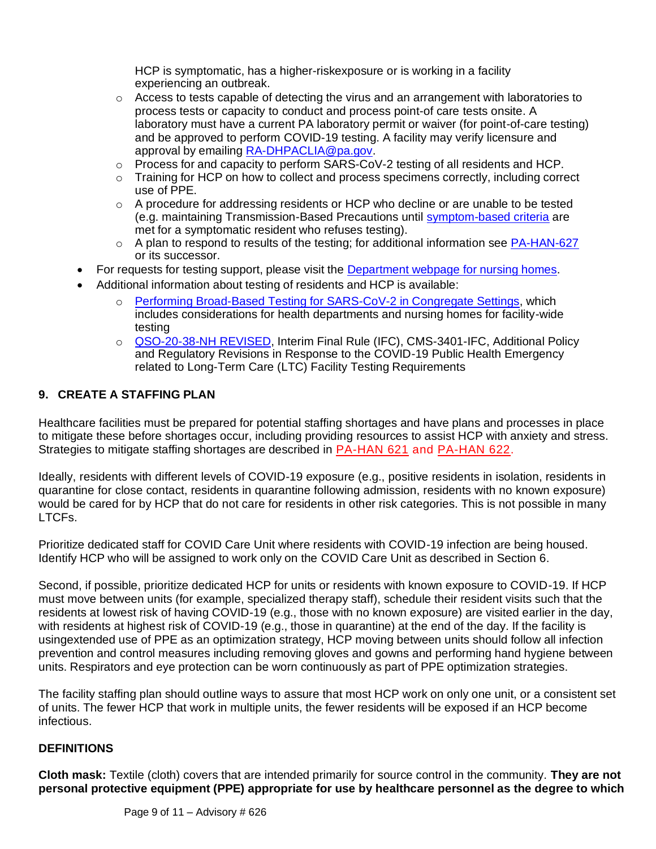HCP is symptomatic, has a higher-riskexposure or is working in a facility experiencing an outbreak.

- $\circ$  Access to tests capable of detecting the virus and an arrangement with laboratories to process tests or capacity to conduct and process point-of care [tests onsite.](https://www.cdc.gov/coronavirus/2019-ncov/lab/point-of-care-testing.html) A laboratory must have a current PA laboratory permit or waiver (for point-of-care testing) and be approved to perform COVID-19 testing. A facility may verify licensure and approval by emailing [RA-DHPACLIA@pa.gov.](mailto:RA-DHPACLIA@pa.gov)
- o Process for and capacity to perform SARS-CoV-2 testing of all residents and HCP.
- o Training for HCP on how to collect and process specimens correctly, including correct use of PPE.
- $\circ$  A procedure for addressing residents or HCP who decline or are unable to be tested (e.g. maintaining Transmission-Based Precautions until [symptom-based criteria](https://www.cdc.gov/coronavirus/2019-ncov/hcp/disposition-hospitalized-patients.html) are met for a symptomatic resident who refuses testing).
- o A plan to respond to results of the testing; for additional information see [PA-HAN-627](https://www.health.pa.gov/topics/Documents/HAN/2022-627-2-15-UPD-LTCF%20OB%20Response.pdf) or its successor.
- For requests for testing support, please visit the Department [webpage for](https://www.health.pa.gov/topics/disease/coronavirus/Pages/Nursing-Homes.aspx) nursing homes.
- Additional information about testing of residents and HCP is available:
	- o [Performing Broad-Based Testing for SARS-CoV-2 in Congregate Settings,](https://www.cdc.gov/coronavirus/2019-ncov/hcp/broad-based-testing.html) which includes considerations for health departments and nursing homes for facility-wide testing
	- o [QSO-20-38-NH REVISED,](https://www.cms.gov/files/document/qso-20-38-nh-revised.pdf) Interim Final Rule (IFC), CMS-3401-IFC, Additional Policy and Regulatory Revisions in Response to the COVID-19 Public Health Emergency related to Long-Term Care (LTC) Facility Testing Requirements

### **9. CREATE A STAFFING PLAN**

Healthcare facilities must be prepared for potential staffing shortages and have plans and processes in place to mitigate these before shortages occur, including providing [resources t](https://www.cdc.gov/coronavirus/2019-ncov/prepare/managing-stress-anxiety.html)o assist HCP with anxiety and stress. Strategies to mitigate staffing shortages are described in [PA-HAN 621](https://www.health.pa.gov/topics/Documents/HAN/2022-621-01-25-UPD-HCP%20restrictions.pdf) and [PA-HAN 622.](https://www.health.pa.gov/topics/Documents/HAN/2021-622-1-25-UPD-Return_Work%20HCP.pdf)

Ideally, residents with different levels of COVID-19 exposure (e.g., positive residents in isolation, residents in quarantine for close contact, residents in quarantine following admission, residents with no known exposure) would be cared for by HCP that do not care for residents in other risk categories. This is not possible in many LTCFs.

Prioritize dedicated staff for COVID Care Unit where residents with COVID-19 infection are being housed. Identify HCP who will be assigned to work only on the COVID Care Unit as described in Section 6.

Second, if possible, prioritize dedicated HCP for units or residents with known exposure to COVID-19. If HCP must move between units (for example, specialized therapy staff), schedule their resident visits such that the residents at lowest risk of having COVID-19 (e.g., those with no known exposure) are visited earlier in the day, with residents at highest risk of COVID-19 (e.g., those in quarantine) at the end of the day. If the facility is usingextended use of PPE as an optimization strategy, HCP moving between units should follow all infection prevention and control measures including removing gloves and gowns and performing hand hygiene between units. Respirators and eye protection can be worn continuously as part of PPE optimization strategies.

The facility staffing plan should outline ways to assure that most HCP work on only one unit, or a consistent set of units. The fewer HCP that work in multiple units, the fewer residents will be exposed if an HCP become infectious.

### **DEFINITIONS**

**Cloth mask:** Textile (cloth) covers that are intended primarily for source control in the community. **They are not personal protective equipment (PPE) appropriate for use by healthcare personnel as the degree to which**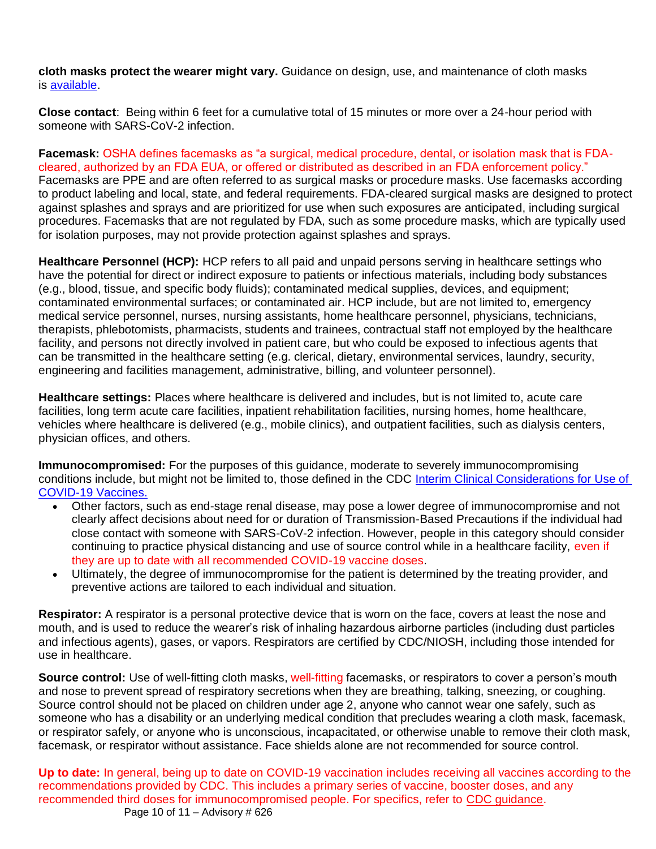**cloth masks protect the wearer might vary.** Guidance on design, use, and maintenance of cloth masks is [available.](https://www.cdc.gov/coronavirus/2019-ncov/prevent-getting-sick/diy-cloth-face-coverings.html)

**Close contact**: Being within 6 feet for a cumulative total of 15 minutes or more over a 24-hour period with someone with SARS-CoV-2 infection.

**Facemask:** OSHA defines facemasks as "a surgical, medical procedure, dental, or isolation mask that is FDAcleared, authorized by an FDA EUA, or offered or distributed as described in an FDA enforcement policy." Facemasks are PPE and are often referred to as surgical masks or procedure masks. Use facemasks according to product labeling and local, state, and federal requirements. FDA-cleared surgical masks are designed to protect against splashes and sprays and are prioritized for use when such exposures are anticipated, including surgical procedures. Facemasks that are not regulated by FDA, such as some procedure masks, which are typically used for isolation purposes, may not provide protection against splashes and sprays.

**Healthcare Personnel (HCP):** HCP refers to all paid and unpaid persons serving in healthcare settings who have the potential for direct or indirect exposure to patients or infectious materials, including body substances (e.g., blood, tissue, and specific body fluids); contaminated medical supplies, devices, and equipment; contaminated environmental surfaces; or contaminated air. HCP include, but are not limited to, emergency medical service personnel, nurses, nursing assistants, home healthcare personnel, physicians, technicians, therapists, phlebotomists, pharmacists, students and trainees, contractual staff not employed by the healthcare facility, and persons not directly involved in patient care, but who could be exposed to infectious agents that can be transmitted in the healthcare setting (e.g. clerical, dietary, environmental services, laundry, security, engineering and facilities management, administrative, billing, and volunteer personnel).

**Healthcare settings:** Places where healthcare is delivered and includes, but is not limited to, acute care facilities, long term acute care facilities, inpatient rehabilitation facilities, nursing homes, home healthcare, vehicles where healthcare is delivered (e.g., mobile clinics), and outpatient facilities, such as dialysis centers, physician offices, and others.

**Immunocompromised:** For the purposes of this guidance, moderate to severely immunocompromising conditions include, but might not be limited to, those defined in the CDC [Interim Clinical Considerations for Use of](https://www.cdc.gov/vaccines/covid-19/clinical-considerations/covid-19-vaccines-us.html?CDC_AA_refVal=https%3A%2F%2Fwww.cdc.gov%2Fvaccines%2Fcovid-19%2Finfo-by-product%2Fclinical-considerations.html)  [COVID-19 Vaccines.](https://www.cdc.gov/vaccines/covid-19/clinical-considerations/covid-19-vaccines-us.html?CDC_AA_refVal=https%3A%2F%2Fwww.cdc.gov%2Fvaccines%2Fcovid-19%2Finfo-by-product%2Fclinical-considerations.html)

- Other factors, such as end-stage renal disease, may pose a lower degree of immunocompromise and not clearly affect decisions about need for or duration of Transmission-Based Precautions if the individual had close contact with someone with SARS-CoV-2 infection. However, people in this category should consider continuing to practice physical distancing and use of source control while in a healthcare facility, even if they are up to date with all recommended COVID-19 vaccine doses.
- Ultimately, the degree of immunocompromise for the patient is determined by the treating provider, and preventive actions are tailored to each individual and situation.

**Respirator:** A respirator is a personal protective device that is worn on the face, covers at least the nose and mouth, and is used to reduce the wearer's risk of inhaling hazardous airborne particles (including dust particles and infectious agents), gases, or vapors. Respirators are certified by CDC/NIOSH, including those intended for use in healthcare.

**Source control:** Use of well-fitting cloth masks, well-fitting facemasks, or respirators to cover a person's mouth and nose to prevent spread of respiratory secretions when they are breathing, talking, sneezing, or coughing. Source control should not be placed on children under age 2, anyone who cannot wear one safely, such as someone who has a disability or an underlying medical condition that precludes wearing a cloth mask, facemask, or respirator safely, or anyone who is unconscious, incapacitated, or otherwise unable to remove their cloth mask, facemask, or respirator without assistance. Face shields alone are not recommended for source control.

Page 10 of 11 – Advisory  $\#$  626 **Up to date:** In general, being up to date on COVID-19 vaccination includes receiving all vaccines according to the recommendations provided by CDC. This includes a primary series of vaccine, booster doses, and any recommended third doses for immunocompromised people. For specifics, refer to [CDC guidance.](https://www.cdc.gov/coronavirus/2019-ncov/vaccines/stay-up-to-date.html)